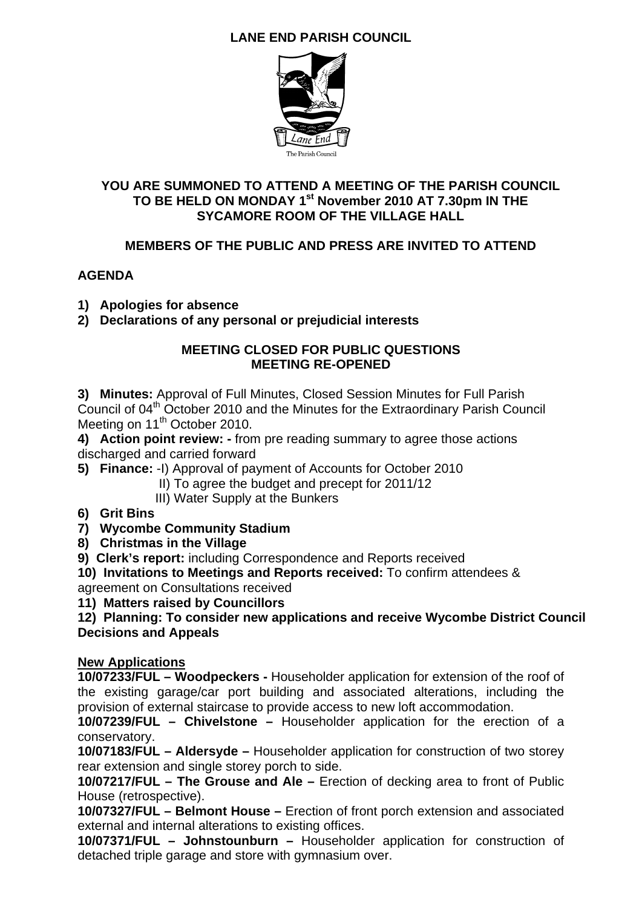## **LANE END PARISH COUNCIL**



## **YOU ARE SUMMONED TO ATTEND A MEETING OF THE PARISH COUNCIL TO BE HELD ON MONDAY 1st November 2010 AT 7.30pm IN THE SYCAMORE ROOM OF THE VILLAGE HALL**

## **MEMBERS OF THE PUBLIC AND PRESS ARE INVITED TO ATTEND**

## **AGENDA**

- **1) Apologies for absence**
- **2) Declarations of any personal or prejudicial interests**

#### **MEETING CLOSED FOR PUBLIC QUESTIONS MEETING RE-OPENED**

**3) Minutes:** Approval of Full Minutes, Closed Session Minutes for Full Parish Council of 04th October 2010 and the Minutes for the Extraordinary Parish Council Meeting on 11<sup>th</sup> October 2010.

**4) Action point review: -** from pre reading summary to agree those actions discharged and carried forward

**5) Finance:** -I) Approval of payment of Accounts for October 2010

II) To agree the budget and precept for 2011/12

III) Water Supply at the Bunkers

**6) Grit Bins**

**7) Wycombe Community Stadium** 

**8) Christmas in the Village** 

**9) Clerk's report:** including Correspondence and Reports received

**10) Invitations to Meetings and Reports received:** To confirm attendees &

agreement on Consultations received

**11) Matters raised by Councillors** 

**12) Planning: To consider new applications and receive Wycombe District Council Decisions and Appeals** 

## **New Applications**

**10/07233/FUL – Woodpeckers -** Householder application for extension of the roof of the existing garage/car port building and associated alterations, including the provision of external staircase to provide access to new loft accommodation.

**10/07239/FUL – Chivelstone –** Householder application for the erection of a conservatory.

**10/07183/FUL – Aldersyde –** Householder application for construction of two storey rear extension and single storey porch to side.

**10/07217/FUL – The Grouse and Ale –** Erection of decking area to front of Public House (retrospective).

**10/07327/FUL – Belmont House –** Erection of front porch extension and associated external and internal alterations to existing offices.

**10/07371/FUL – Johnstounburn –** Householder application for construction of detached triple garage and store with gymnasium over.